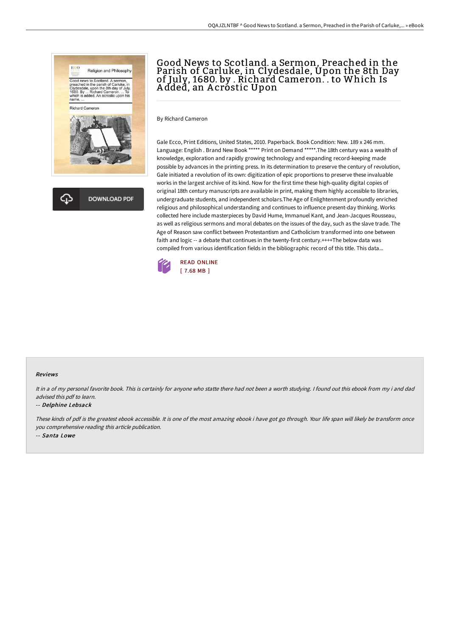

**DOWNLOAD PDF** 

## Good News to Scotland. a Sermon, Preached in the Parish of Carluke, in Clydesdale, Upon the 8th Day of July, 1680. by . Richard Cameron. . to Which Is A dded, an A crostic Upon

By Richard Cameron

Gale Ecco, Print Editions, United States, 2010. Paperback. Book Condition: New. 189 x 246 mm. Language: English . Brand New Book \*\*\*\*\* Print on Demand \*\*\*\*\*.The 18th century was a wealth of knowledge, exploration and rapidly growing technology and expanding record-keeping made possible by advances in the printing press. In its determination to preserve the century of revolution, Gale initiated a revolution of its own: digitization of epic proportions to preserve these invaluable works in the largest archive of its kind. Now for the first time these high-quality digital copies of original 18th century manuscripts are available in print, making them highly accessible to libraries, undergraduate students, and independent scholars.The Age of Enlightenment profoundly enriched religious and philosophical understanding and continues to influence present-day thinking. Works collected here include masterpieces by David Hume, Immanuel Kant, and Jean-Jacques Rousseau, as well as religious sermons and moral debates on the issues of the day, such as the slave trade. The Age of Reason saw conflict between Protestantism and Catholicism transformed into one between faith and logic -- a debate that continues in the twenty-first century.++++The below data was compiled from various identification fields in the bibliographic record of this title. This data...



## Reviews

It in a of my personal favorite book. This is certainly for anyone who statte there had not been a worth studying. I found out this ebook from my i and dad advised this pdf to learn.

## -- Delphine Lebsack

These kinds of pdf is the greatest ebook accessible. It is one of the most amazing ebook i have got go through. Your life span will likely be transform once you comprehensive reading this article publication. -- Santa Lowe